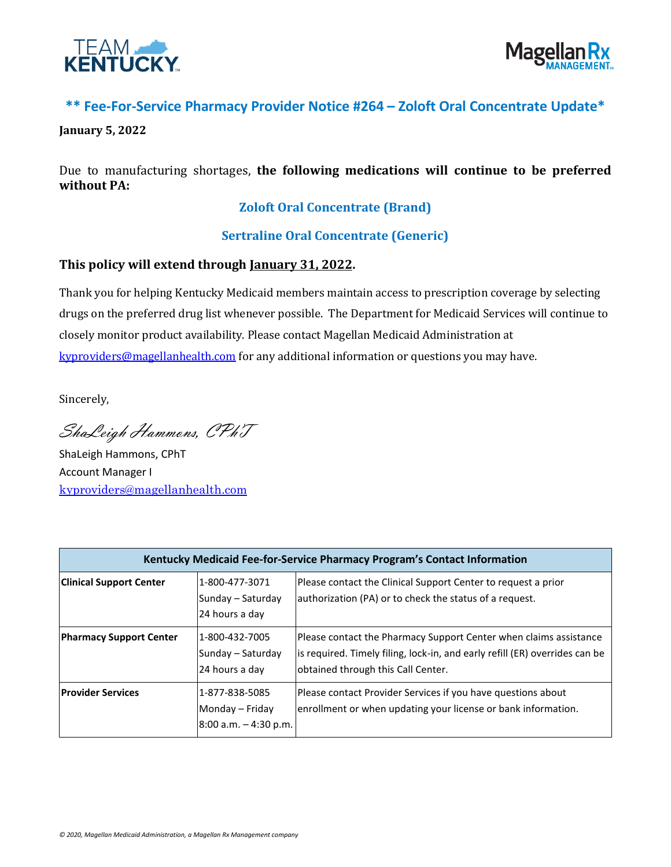



## **\*\* Fee-For-Service Pharmacy Provider Notice #264 – Zoloft Oral Concentrate Update\***

**January 5, 2022**

Due to manufacturing shortages, **the following medications will continue to be preferred without PA:**

## **Zoloft Oral Concentrate (Brand)**

## **Sertraline Oral Concentrate (Generic)**

## **This policy will extend through January 31, 2022.**

Thank you for helping Kentucky Medicaid members maintain access to prescription coverage by selecting drugs on the preferred drug list whenever possible. The Department for Medicaid Services will continue to closely monitor product availability. Please contact Magellan Medicaid Administration at [kyproviders@magellanhealth.com](mailto:kyproviders@magellanhealth.com) for any additional information or questions you may have.

Sincerely,

ShaLeigh Hammons, CPhT

ShaLeigh Hammons, CPhT Account Manager I [kyproviders@magellanhealth.com](mailto:kyproviders@magellanhealth.com)

| Kentucky Medicaid Fee-for-Service Pharmacy Program's Contact Information |                                                               |                                                                                                                                                                                        |  |
|--------------------------------------------------------------------------|---------------------------------------------------------------|----------------------------------------------------------------------------------------------------------------------------------------------------------------------------------------|--|
| <b>Clinical Support Center</b>                                           | 1-800-477-3071<br>Sunday - Saturday<br>24 hours a day         | Please contact the Clinical Support Center to request a prior<br>authorization (PA) or to check the status of a request.                                                               |  |
| <b>Pharmacy Support Center</b>                                           | 1-800-432-7005<br>Sunday - Saturday<br>24 hours a day         | Please contact the Pharmacy Support Center when claims assistance<br>is required. Timely filing, lock-in, and early refill (ER) overrides can be<br>obtained through this Call Center. |  |
| <b>Provider Services</b>                                                 | 1-877-838-5085<br>Monday - Friday<br>$8:00$ a.m. $-4:30$ p.m. | Please contact Provider Services if you have questions about<br>enrollment or when updating your license or bank information.                                                          |  |